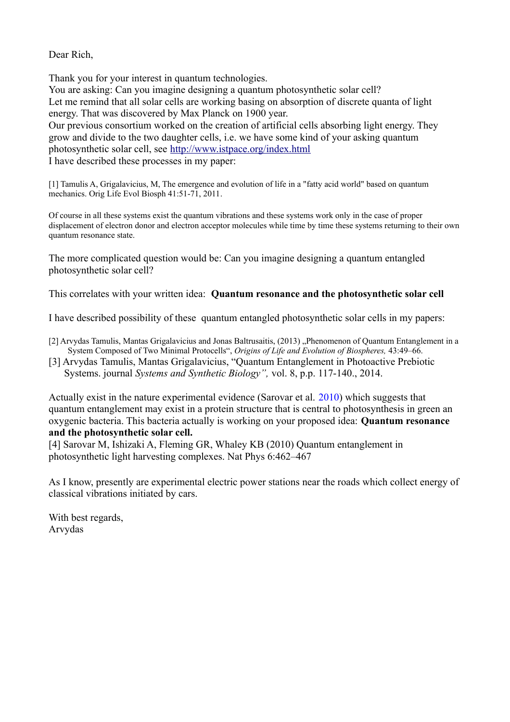Dear Rich,

Thank you for your interest in quantum technologies. You are asking: Can you imagine designing a quantum photosynthetic solar cell? Let me remind that all solar cells are working basing on absorption of discrete quanta of light energy. That was discovered by Max Planck on 1900 year. Our previous consortium worked on the creation of artificial cells absorbing light energy. They grow and divide to the two daughter cells, i.e. we have some kind of your asking quantum photosynthetic solar cell, see<http://www.istpace.org/index.html> I have described these processes in my paper:

[1] Tamulis A, Grigalavicius, M, The emergence and evolution of life in a "fatty acid world" based on quantum mechanics. Orig Life Evol Biosph 41:51-71, 2011.

Of course in all these systems exist the quantum vibrations and these systems work only in the case of proper displacement of electron donor and electron acceptor molecules while time by time these systems returning to their own quantum resonance state.

The more complicated question would be: Can you imagine designing a quantum entangled photosynthetic solar cell?

This correlates with your written idea: **Quantum resonance and the photosynthetic solar cell**

I have described possibility of these quantum entangled photosynthetic solar cells in my papers:

- [2] Arvydas Tamulis, Mantas Grigalavicius and Jonas Baltrusaitis, (2013) "Phenomenon of Quantum Entanglement in a System Composed of Two Minimal Protocells", *Origins of Life and Evolution of Biospheres,* 43:49–66.
- [3] Arvydas Tamulis, Mantas Grigalavicius, "Quantum Entanglement in Photoactive Prebiotic Systems. journal *Systems and Synthetic Biology",* vol. 8, p.p. 117-140., 2014.

Actually exist in the nature experimental evidence (Sarovar et al. 2010) which suggests that quantum entanglement may exist in a protein structure that is central to photosynthesis in green an oxygenic bacteria. This bacteria actually is working on your proposed idea: **Quantum resonance and the photosynthetic solar cell.**

[4] Sarovar M, Ishizaki A, Fleming GR, Whaley KB (2010) Quantum entanglement in photosynthetic light harvesting complexes. Nat Phys 6:462–467

As I know, presently are experimental electric power stations near the roads which collect energy of classical vibrations initiated by cars.

With best regards, Arvydas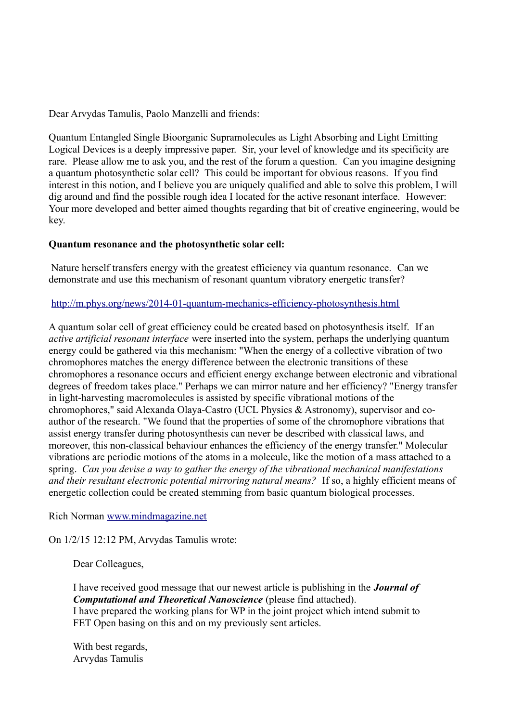Dear Arvydas Tamulis, Paolo Manzelli and friends:

Quantum Entangled Single Bioorganic Supramolecules as Light Absorbing and Light Emitting Logical Devices is a deeply impressive paper. Sir, your level of knowledge and its specificity are rare. Please allow me to ask you, and the rest of the forum a question. Can you imagine designing a quantum photosynthetic solar cell? This could be important for obvious reasons. If you find interest in this notion, and I believe you are uniquely qualified and able to solve this problem, I will dig around and find the possible rough idea I located for the active resonant interface. However: Your more developed and better aimed thoughts regarding that bit of creative engineering, would be key.

## **Quantum resonance and the photosynthetic solar cell:**

Nature herself transfers energy with the greatest efficiency via quantum resonance. Can we demonstrate and use this mechanism of resonant quantum vibratory energetic transfer?

## <http://m.phys.org/news/2014-01-quantum-mechanics-efficiency-photosynthesis.html>

A quantum solar cell of great efficiency could be created based on photosynthesis itself. If an *active artificial resonant interface* were inserted into the system, perhaps the underlying quantum energy could be gathered via this mechanism: "When the energy of a collective vibration of two chromophores matches the energy difference between the electronic transitions of these chromophores a resonance occurs and efficient energy exchange between electronic and vibrational degrees of freedom takes place." Perhaps we can mirror nature and her efficiency? "Energy transfer in light-harvesting macromolecules is assisted by specific vibrational motions of the chromophores," said Alexanda Olaya-Castro (UCL Physics & Astronomy), supervisor and coauthor of the research. "We found that the properties of some of the chromophore vibrations that assist energy transfer during photosynthesis can never be described with classical laws, and moreover, this non-classical behaviour enhances the efficiency of the energy transfer." Molecular vibrations are periodic motions of the atoms in a molecule, like the motion of a mass attached to a spring. *Can you devise a way to gather the energy of the vibrational mechanical manifestations and their resultant electronic potential mirroring natural means?* If so, a highly efficient means of energetic collection could be created stemming from basic quantum biological processes.

## Rich Norman [www.mindmagazine.net](http://www.mindmagazine.net/)

On 1/2/15 12:12 PM, Arvydas Tamulis wrote:

Dear Colleagues,

I have received good message that our newest article is publishing in the *Journal of Computational and Theoretical Nanoscience* (please find attached). I have prepared the working plans for WP in the joint project which intend submit to FET Open basing on this and on my previously sent articles.

With best regards, Arvydas Tamulis